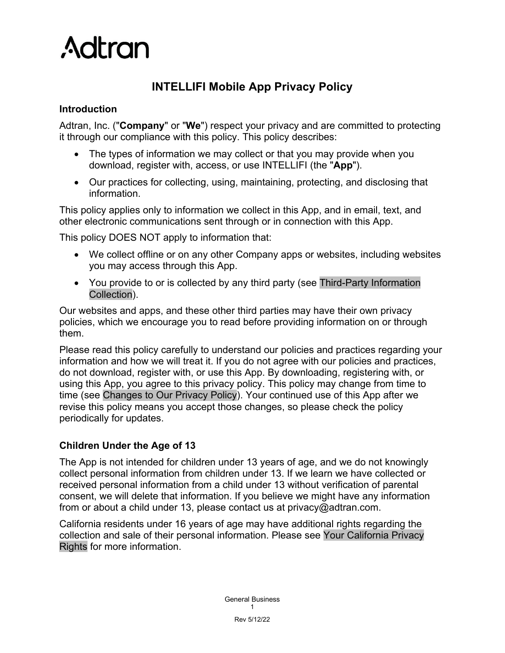

# **INTELLIFI Mobile App Privacy Policy**

#### **Introduction**

Adtran, Inc. ("**Company**" or "**We**") respect your privacy and are committed to protecting it through our compliance with this policy. This policy describes:

- The types of information we may collect or that you may provide when you download, register with, access, or use INTELLIFI (the "**App**").
- Our practices for collecting, using, maintaining, protecting, and disclosing that information.

This policy applies only to information we collect in this App, and in email, text, and other electronic communications sent through or in connection with this App.

This policy DOES NOT apply to information that:

- We collect offline or on any other Company apps or websites, including websites you may access through this App.
- You provide to or is collected by any third party (see Third-Party Information [Collection\)](#page-2-0).

Our websites and apps, and these other third parties may have their own privacy policies, which we encourage you to read before providing information on or through them.

Please read this policy carefully to understand our policies and practices regarding your information and how we will treat it. If you do not agree with our policies and practices, do not download, register with, or use this App. By downloading, registering with, or using this App, you agree to this privacy policy. This policy may change from time to time (see [Changes to Our Privacy Policy\)](#page-4-0). Your continued use of this App after we revise this policy means you accept those changes, so please check the policy periodically for updates.

### **Children Under the Age of 13**

The App is not intended for children under 13 years of age, and we do not knowingly collect personal information from children under 13. If we learn we have collected or received personal information from a child under 13 without verification of parental consent, we will delete that information. If you believe we might have any information from or about a child under 13, please contact us at privacy@adtran.com.

California residents under 16 years of age may have additional rights regarding the collection and sale of their personal information. Please see [Your California Privacy](#page-4-1)  [Rights](#page-4-1) for more information.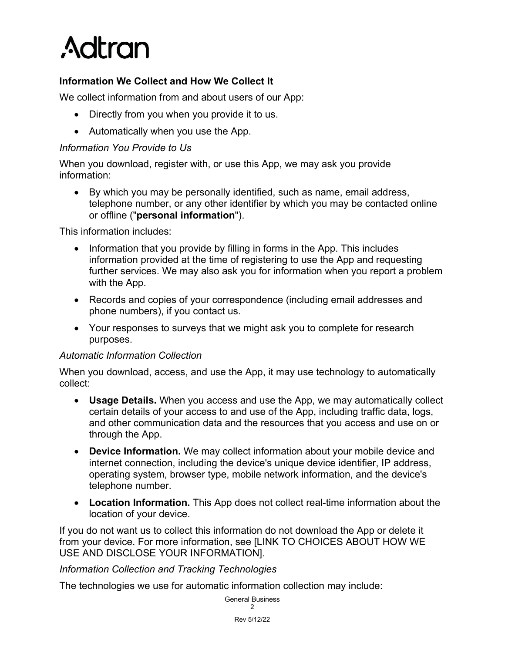

# **Information We Collect and How We Collect It**

We collect information from and about users of our App:

- Directly from you when you provide it to us.
- Automatically when you use the App.

#### *Information You Provide to Us*

When you download, register with, or use this App, we may ask you provide information:

• By which you may be personally identified, such as name, email address, telephone number, or any other identifier by which you may be contacted online or offline ("**personal information**").

This information includes:

- Information that you provide by filling in forms in the App. This includes information provided at the time of registering to use the App and requesting further services. We may also ask you for information when you report a problem with the App.
- Records and copies of your correspondence (including email addresses and phone numbers), if you contact us.
- Your responses to surveys that we might ask you to complete for research purposes.

#### *Automatic Information Collection*

When you download, access, and use the App, it may use technology to automatically collect:

- **Usage Details.** When you access and use the App, we may automatically collect certain details of your access to and use of the App, including traffic data, logs, and other communication data and the resources that you access and use on or through the App.
- **Device Information.** We may collect information about your mobile device and internet connection, including the device's unique device identifier, IP address, operating system, browser type, mobile network information, and the device's telephone number.
- **Location Information.** This App does not collect real-time information about the location of your device.

If you do not want us to collect this information do not download the App or delete it from your device. For more information, see [LINK TO CHOICES ABOUT HOW WE USE AND DISCLOSE YOUR INFORMATION].

#### *Information Collection and Tracking Technologies*

The technologies we use for automatic information collection may include: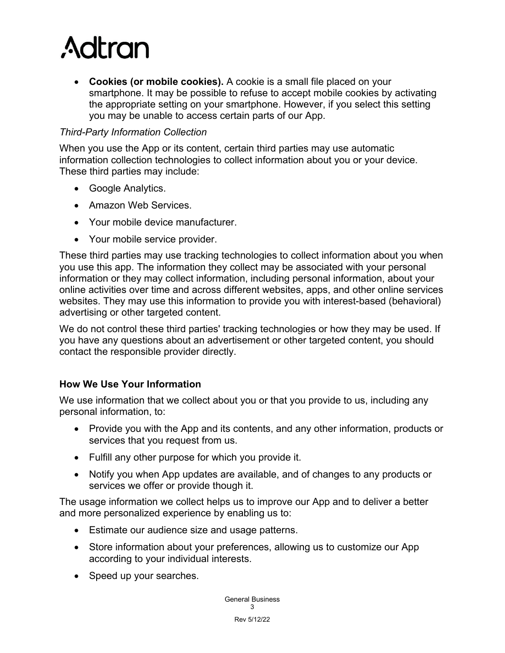# **Adtran**

• **Cookies (or mobile cookies).** A cookie is a small file placed on your smartphone. It may be possible to refuse to accept mobile cookies by activating the appropriate setting on your smartphone. However, if you select this setting you may be unable to access certain parts of our App.

# <span id="page-2-0"></span>*Third-Party Information Collection*

When you use the App or its content, certain third parties may use automatic information collection technologies to collect information about you or your device. These third parties may include:

- Google Analytics.
- Amazon Web Services.
- Your mobile device manufacturer.
- Your mobile service provider.

These third parties may use tracking technologies to collect information about you when you use this app. The information they collect may be associated with your personal information or they may collect information, including personal information, about your online activities over time and across different websites, apps, and other online services websites. They may use this information to provide you with interest-based (behavioral) advertising or other targeted content.

We do not control these third parties' tracking technologies or how they may be used. If you have any questions about an advertisement or other targeted content, you should contact the responsible provider directly.

### **How We Use Your Information**

We use information that we collect about you or that you provide to us, including any personal information, to:

- Provide you with the App and its contents, and any other information, products or services that you request from us.
- Fulfill any other purpose for which you provide it.
- Notify you when App updates are available, and of changes to any products or services we offer or provide though it.

The usage information we collect helps us to improve our App and to deliver a better and more personalized experience by enabling us to:

- Estimate our audience size and usage patterns.
- Store information about your preferences, allowing us to customize our App according to your individual interests.
- Speed up your searches.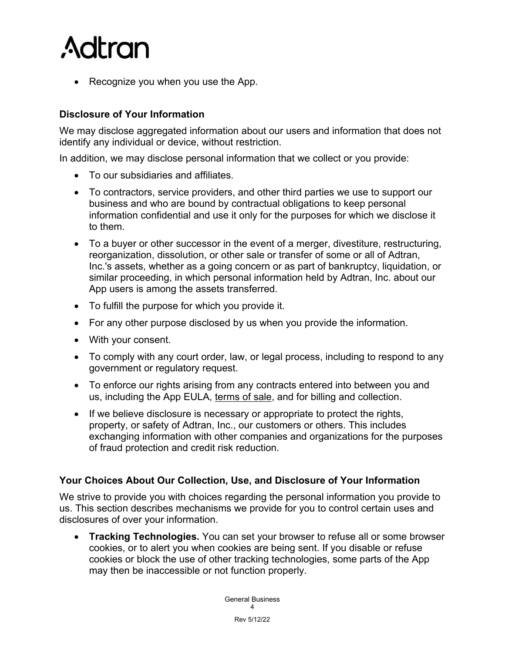

• Recognize you when you use the App.

#### **Disclosure of Your Information**

We may disclose aggregated information about our users and information that does not identify any individual or device, without restriction.

In addition, we may disclose personal information that we collect or you provide:

- To our subsidiaries and affiliates.
- To contractors, service providers, and other third parties we use to support our business and who are bound by contractual obligations to keep personal information confidential and use it only for the purposes for which we disclose it to them.
- To a buyer or other successor in the event of a merger, divestiture, restructuring, reorganization, dissolution, or other sale or transfer of some or all of Adtran, Inc.'s assets, whether as a going concern or as part of bankruptcy, liquidation, or similar proceeding, in which personal information held by Adtran, Inc. about our App users is among the assets transferred.
- To fulfill the purpose for which you provide it.
- For any other purpose disclosed by us when you provide the information.
- With your consent.
- To comply with any court order, law, or legal process, including to respond to any government or regulatory request.
- To enforce our rights arising from any contracts entered into between you and us, including the App EULA, [terms of sale,](https://www.adtran.com/legal) and for billing and collection.
- If we believe disclosure is necessary or appropriate to protect the rights, property, or safety of Adtran, Inc., our customers or others. This includes exchanging information with other companies and organizations for the purposes of fraud protection and credit risk reduction.

#### **Your Choices About Our Collection, Use, and Disclosure of Your Information**

We strive to provide you with choices regarding the personal information you provide to us. This section describes mechanisms we provide for you to control certain uses and disclosures of over your information.

• **Tracking Technologies.** You can set your browser to refuse all or some browser cookies, or to alert you when cookies are being sent. If you disable or refuse cookies or block the use of other tracking technologies, some parts of the App may then be inaccessible or not function properly.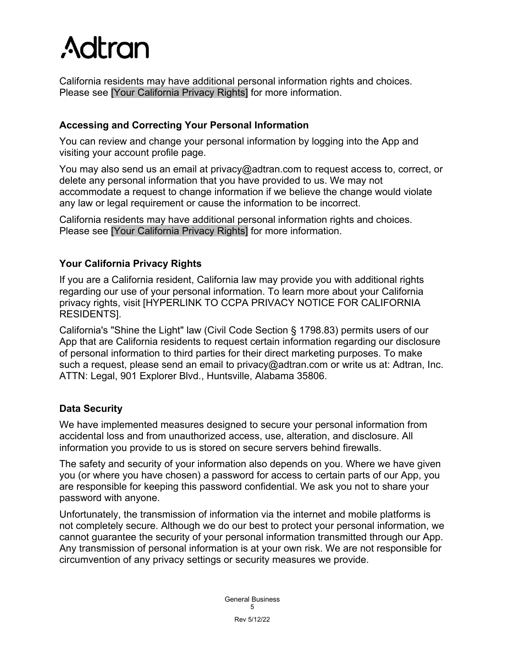# **Adtran**

California residents may have additional personal information rights and choices. Please see [\[Your California Privacy Rights\]](#page-4-1) for more information.

# **Accessing and Correcting Your Personal Information**

You can review and change your personal information by logging into the App and visiting your account profile page.

You may also send us an email at privacy@adtran.com to request access to, correct, or delete any personal information that you have provided to us. We may not accommodate a request to change information if we believe the change would violate any law or legal requirement or cause the information to be incorrect.

California residents may have additional personal information rights and choices. Please see [\[Your California Privacy Rights\]](#page-4-1) for more information.

# <span id="page-4-1"></span>**Your California Privacy Rights**

If you are a California resident, California law may provide you with additional rights regarding our use of your personal information. To learn more about your California privacy rights, visit [HYPERLINK TO CCPA PRIVACY NOTICE FOR CALIFORNIA RESIDENTS].

California's "Shine the Light" law (Civil Code Section § 1798.83) permits users of our App that are California residents to request certain information regarding our disclosure of personal information to third parties for their direct marketing purposes. To make such a request, please send an email to privacy@adtran.com or write us at: Adtran, Inc. ATTN: Legal, 901 Explorer Blvd., Huntsville, Alabama 35806.

### **Data Security**

We have implemented measures designed to secure your personal information from accidental loss and from unauthorized access, use, alteration, and disclosure. All information you provide to us is stored on secure servers behind firewalls.

The safety and security of your information also depends on you. Where we have given you (or where you have chosen) a password for access to certain parts of our App, you are responsible for keeping this password confidential. We ask you not to share your password with anyone.

<span id="page-4-0"></span>Unfortunately, the transmission of information via the internet and mobile platforms is not completely secure. Although we do our best to protect your personal information, we cannot guarantee the security of your personal information transmitted through our App. Any transmission of personal information is at your own risk. We are not responsible for circumvention of any privacy settings or security measures we provide.